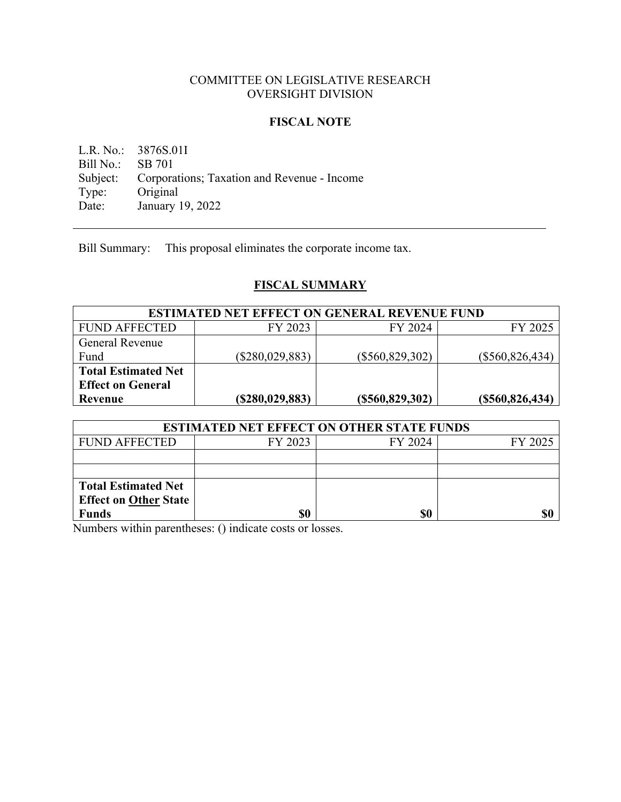### COMMITTEE ON LEGISLATIVE RESEARCH OVERSIGHT DIVISION

#### **FISCAL NOTE**

L.R. No.: 3876S.01I Bill No.: SB 701 Subject: Corporations; Taxation and Revenue - Income Type: Original Type: Original<br>Date: January January 19, 2022

Bill Summary: This proposal eliminates the corporate income tax.

# **FISCAL SUMMARY**

| <b>ESTIMATED NET EFFECT ON GENERAL REVENUE FUND</b> |                   |                   |                   |  |
|-----------------------------------------------------|-------------------|-------------------|-------------------|--|
| <b>FUND AFFECTED</b>                                | FY 2023           | FY 2024           | FY 2025           |  |
| <b>General Revenue</b>                              |                   |                   |                   |  |
| Fund                                                | $(\$280,029,883)$ | $(\$560,829,302)$ | $(\$560,826,434)$ |  |
| <b>Total Estimated Net</b>                          |                   |                   |                   |  |
| <b>Effect on General</b>                            |                   |                   |                   |  |
| Revenue                                             | (S280, 029, 883)  | (S560, 829, 302)  | (S560, 826, 434)  |  |

| <b>ESTIMATED NET EFFECT ON OTHER STATE FUNDS</b> |         |         |         |  |
|--------------------------------------------------|---------|---------|---------|--|
| <b>FUND AFFECTED</b>                             | FY 2023 | FY 2024 | FY 2025 |  |
|                                                  |         |         |         |  |
|                                                  |         |         |         |  |
| <b>Total Estimated Net</b>                       |         |         |         |  |
| <b>Effect on Other State</b>                     |         |         |         |  |
| <b>Funds</b>                                     | \$0     | \$0     |         |  |

Numbers within parentheses: () indicate costs or losses.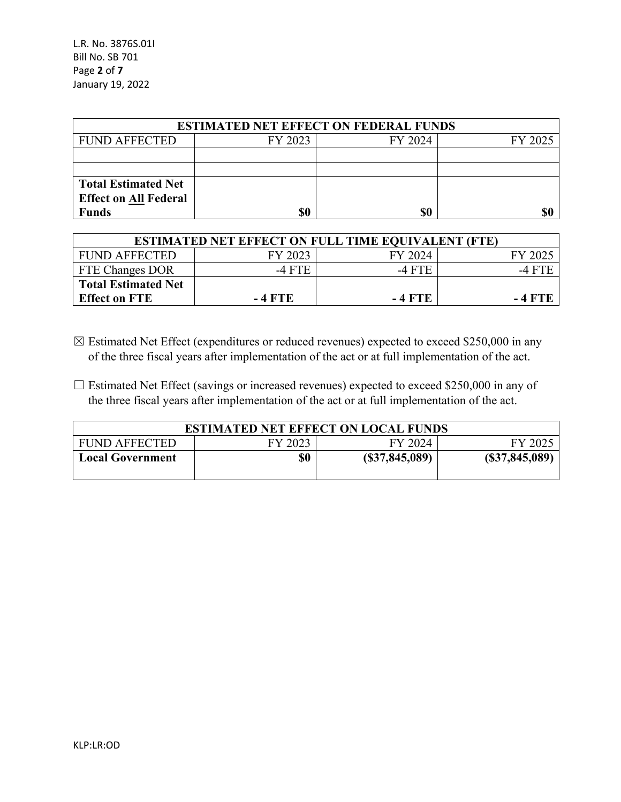| <b>ESTIMATED NET EFFECT ON FEDERAL FUNDS</b> |         |         |         |  |
|----------------------------------------------|---------|---------|---------|--|
| <b>FUND AFFECTED</b>                         | FY 2023 | FY 2024 | FY 2025 |  |
|                                              |         |         |         |  |
|                                              |         |         |         |  |
| <b>Total Estimated Net</b>                   |         |         |         |  |
| <b>Effect on All Federal</b>                 |         |         |         |  |
| <b>Funds</b>                                 | \$0     | \$0     | \$(     |  |

| <b>ESTIMATED NET EFFECT ON FULL TIME EQUIVALENT (FTE)</b> |         |         |         |  |  |
|-----------------------------------------------------------|---------|---------|---------|--|--|
| <b>FUND AFFECTED</b>                                      | FY 2023 | FY 2024 | FY 2025 |  |  |
| <b>FTE Changes DOR</b>                                    | -4 FTE  | -4 FTE  | -4 FTE  |  |  |
| <b>Total Estimated Net</b>                                |         |         |         |  |  |
| <b>Effect on FTE</b>                                      | - 4 FTE | - 4 FTE | -4 FTE  |  |  |

- $\boxtimes$  Estimated Net Effect (expenditures or reduced revenues) expected to exceed \$250,000 in any of the three fiscal years after implementation of the act or at full implementation of the act.
- $\Box$  Estimated Net Effect (savings or increased revenues) expected to exceed \$250,000 in any of the three fiscal years after implementation of the act or at full implementation of the act.

| <b>ESTIMATED NET EFFECT ON LOCAL FUNDS</b> |         |                 |                 |
|--------------------------------------------|---------|-----------------|-----------------|
| <b>FUND AFFECTED</b>                       | FY 2023 | FY 2024         | FY 2025         |
| <b>Local Government</b>                    | \$0     | (S37, 845, 089) | (S37, 845, 089) |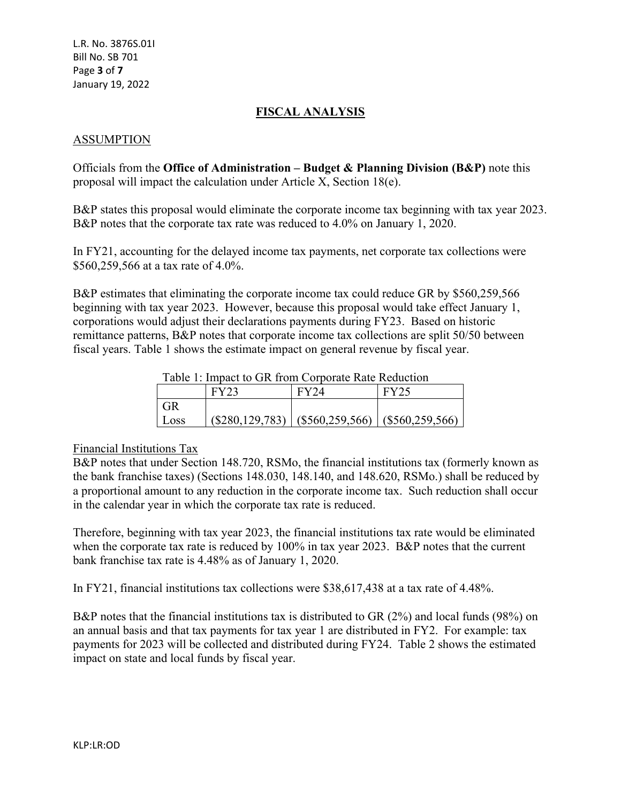## **FISCAL ANALYSIS**

### ASSUMPTION

Officials from the **Office of Administration – Budget & Planning Division (B&P)** note this proposal will impact the calculation under Article X, Section 18(e).

B&P states this proposal would eliminate the corporate income tax beginning with tax year 2023. B&P notes that the corporate tax rate was reduced to 4.0% on January 1, 2020.

In FY21, accounting for the delayed income tax payments, net corporate tax collections were \$560,259,566 at a tax rate of 4.0%.

B&P estimates that eliminating the corporate income tax could reduce GR by \$560,259,566 beginning with tax year 2023. However, because this proposal would take effect January 1, corporations would adjust their declarations payments during FY23. Based on historic remittance patterns, B&P notes that corporate income tax collections are split 50/50 between fiscal years. Table 1 shows the estimate impact on general revenue by fiscal year.

Table 1: Impact to GR from Corporate Rate Reduction

|      | <b>FY23</b> | FY24                                                      | <b>FY25</b> |
|------|-------------|-----------------------------------------------------------|-------------|
| GR   |             |                                                           |             |
| Loss |             | $(\$280,129,783)$   $(\$560,259,566)$   $(\$560,259,566)$ |             |

#### Financial Institutions Tax

B&P notes that under Section 148.720, RSMo, the financial institutions tax (formerly known as the bank franchise taxes) (Sections 148.030, 148.140, and 148.620, RSMo.) shall be reduced by a proportional amount to any reduction in the corporate income tax. Such reduction shall occur in the calendar year in which the corporate tax rate is reduced.

Therefore, beginning with tax year 2023, the financial institutions tax rate would be eliminated when the corporate tax rate is reduced by 100% in tax year 2023. B&P notes that the current bank franchise tax rate is 4.48% as of January 1, 2020.

In FY21, financial institutions tax collections were \$38,617,438 at a tax rate of 4.48%.

B&P notes that the financial institutions tax is distributed to GR (2%) and local funds (98%) on an annual basis and that tax payments for tax year 1 are distributed in FY2. For example: tax payments for 2023 will be collected and distributed during FY24. Table 2 shows the estimated impact on state and local funds by fiscal year.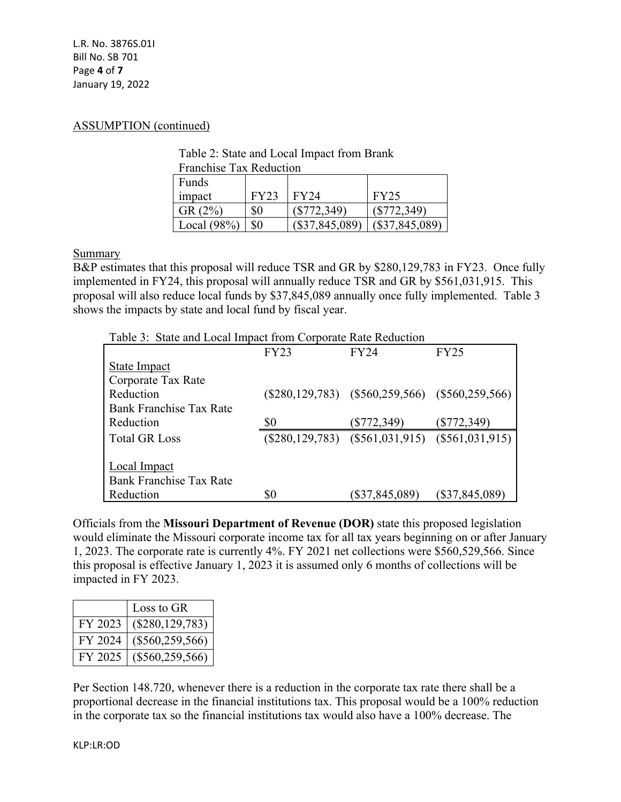L.R. No. 3876S.01I Bill No. SB 701 Page **4** of **7** January 19, 2022

#### ASSUMPTION (continued)

| Table 2: State and Local Impact from Brank |
|--------------------------------------------|
| <b>Franchise Tax Reduction</b>             |

| <b>Funds</b>   |             |                  |                  |
|----------------|-------------|------------------|------------------|
| impact         | <b>FY23</b> | FY24             | <b>FY25</b>      |
| GR(2%)         | \$0         | $(\$772,349)$    | $(\$772,349)$    |
| Local $(98\%)$ | \$0         | $(\$37,845,089)$ | $(\$37,845,089)$ |

Summary

B&P estimates that this proposal will reduce TSR and GR by \$280,129,783 in FY23. Once fully implemented in FY24, this proposal will annually reduce TSR and GR by \$561,031,915. This proposal will also reduce local funds by \$37,845,089 annually once fully implemented. Table 3 shows the impacts by state and local fund by fiscal year.

| Table 3: State and Local Impact from Corporate Rate Reduction |  |  |
|---------------------------------------------------------------|--|--|
|---------------------------------------------------------------|--|--|

|                                | <b>FY23</b> | <b>FY24</b>                                           | <b>FY25</b>    |
|--------------------------------|-------------|-------------------------------------------------------|----------------|
| <b>State Impact</b>            |             |                                                       |                |
| Corporate Tax Rate             |             |                                                       |                |
| Reduction                      |             | $(\$280,129,783)$ $(\$560,259,566)$ $(\$560,259,566)$ |                |
| <b>Bank Franchise Tax Rate</b> |             |                                                       |                |
| Reduction                      | \$0         | (\$772,349)                                           | (\$772,349)    |
| <b>Total GR Loss</b>           |             | $(\$280,129,783)$ $(\$561,031,915)$ $(\$561,031,915)$ |                |
|                                |             |                                                       |                |
| <b>Local Impact</b>            |             |                                                       |                |
| <b>Bank Franchise Tax Rate</b> |             |                                                       |                |
| Reduction                      | \$0         | $(\$37,845,089)$                                      | (\$37,845,089) |

Officials from the **Missouri Department of Revenue (DOR)** state this proposed legislation would eliminate the Missouri corporate income tax for all tax years beginning on or after January 1, 2023. The corporate rate is currently 4%. FY 2021 net collections were \$560,529,566. Since this proposal is effective January 1, 2023 it is assumed only 6 months of collections will be impacted in FY 2023.

|         | Loss to GR          |
|---------|---------------------|
| FY 2023 | $(\$280, 129, 783)$ |
| FY 2024 | $(\$560, 259, 566)$ |
| FY 2025 | $(\$560,259,566)$   |

Per Section 148.720, whenever there is a reduction in the corporate tax rate there shall be a proportional decrease in the financial institutions tax. This proposal would be a 100% reduction in the corporate tax so the financial institutions tax would also have a 100% decrease. The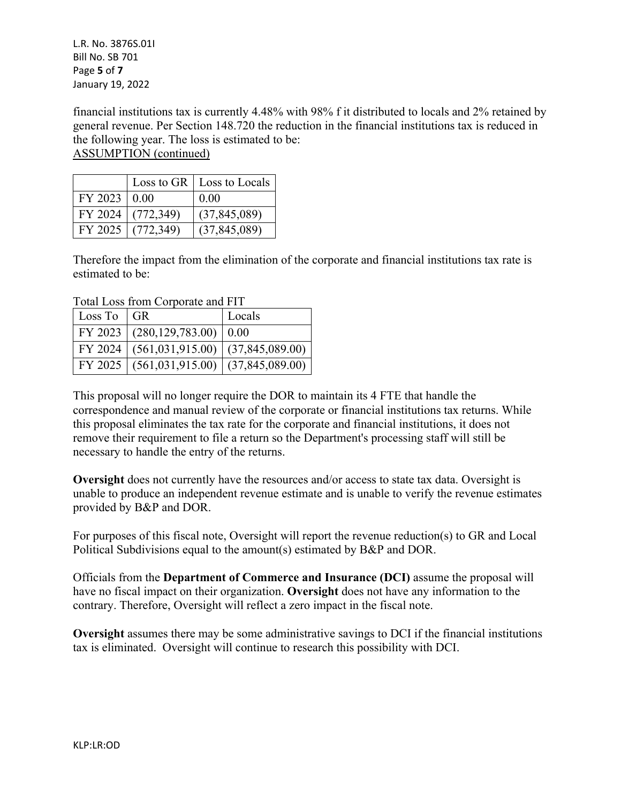L.R. No. 3876S.01I Bill No. SB 701 Page **5** of **7** January 19, 2022

financial institutions tax is currently 4.48% with 98% f it distributed to locals and 2% retained by general revenue. Per Section 148.720 the reduction in the financial institutions tax is reduced in the following year. The loss is estimated to be: ASSUMPTION (continued)

|                  |                     | Loss to GR $\vert$ Loss to Locals |
|------------------|---------------------|-----------------------------------|
| $FY$ 2023   0.00 |                     | 0.00                              |
|                  | FY 2024 $(772,349)$ | (37, 845, 089)                    |
|                  | FY 2025 $(772,349)$ | (37, 845, 089)                    |

Therefore the impact from the elimination of the corporate and financial institutions tax rate is estimated to be:

Total Loss from Corporate and FIT

| Loss To $ GR $ |                                                  | Locals |
|----------------|--------------------------------------------------|--------|
|                | FY 2023 $(280, 129, 783.00)$ 0.00                |        |
|                | FY 2024   $(561,031,915.00)$   $(37,845,089.00)$ |        |
|                | FY 2025 $(561,031,915.00)$ $(37,845,089.00)$     |        |

This proposal will no longer require the DOR to maintain its 4 FTE that handle the correspondence and manual review of the corporate or financial institutions tax returns. While this proposal eliminates the tax rate for the corporate and financial institutions, it does not remove their requirement to file a return so the Department's processing staff will still be necessary to handle the entry of the returns.

**Oversight** does not currently have the resources and/or access to state tax data. Oversight is unable to produce an independent revenue estimate and is unable to verify the revenue estimates provided by B&P and DOR.

For purposes of this fiscal note, Oversight will report the revenue reduction(s) to GR and Local Political Subdivisions equal to the amount(s) estimated by B&P and DOR.

Officials from the **Department of Commerce and Insurance (DCI)** assume the proposal will have no fiscal impact on their organization. **Oversight** does not have any information to the contrary. Therefore, Oversight will reflect a zero impact in the fiscal note.

**Oversight** assumes there may be some administrative savings to DCI if the financial institutions tax is eliminated. Oversight will continue to research this possibility with DCI.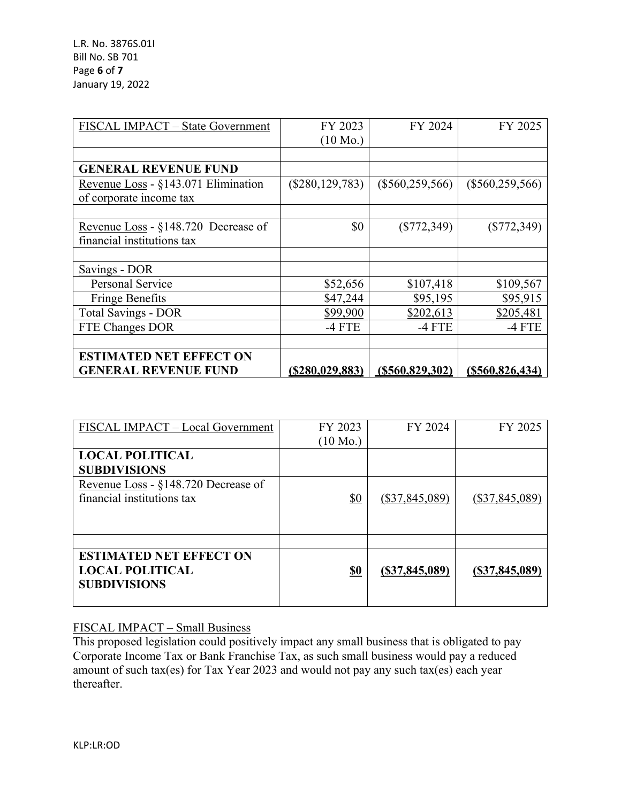| FISCAL IMPACT - State Government    | FY 2023<br>$(10 \text{ Mo.})$ | FY 2024             | FY 2025           |
|-------------------------------------|-------------------------------|---------------------|-------------------|
|                                     |                               |                     |                   |
| <b>GENERAL REVENUE FUND</b>         |                               |                     |                   |
| Revenue Loss - §143.071 Elimination | $(\$280, 129, 783)$           | $(\$560, 259, 566)$ | $(\$560,259,566)$ |
| of corporate income tax             |                               |                     |                   |
|                                     |                               |                     |                   |
| Revenue Loss - §148.720 Decrease of | \$0                           | $(\$772,349)$       | $(\$772,349)$     |
| financial institutions tax          |                               |                     |                   |
|                                     |                               |                     |                   |
| Savings - DOR                       |                               |                     |                   |
| Personal Service                    | \$52,656                      | \$107,418           | \$109,567         |
| <b>Fringe Benefits</b>              | \$47,244                      | \$95,195            | \$95,915          |
| <b>Total Savings - DOR</b>          | \$99,900                      | \$202,613           | \$205,481         |
| FTE Changes DOR                     | $-4$ FTE                      | $-4$ FTE            | $-4$ FTE          |
|                                     |                               |                     |                   |
| <b>ESTIMATED NET EFFECT ON</b>      |                               |                     |                   |
| <b>GENERAL REVENUE FUND</b>         | (S280, 029, 883)              | (S560, 829, 302)    | (S560, 826, 434)  |

| FISCAL IMPACT - Local Government                                                | FY 2023<br>$(10 \text{ Mo.})$ | FY 2024          | FY 2025          |
|---------------------------------------------------------------------------------|-------------------------------|------------------|------------------|
| <b>LOCAL POLITICAL</b><br><b>SUBDIVISIONS</b>                                   |                               |                  |                  |
| Revenue Loss - §148.720 Decrease of<br>financial institutions tax               | <u>\$0</u>                    | $(\$37,845,089)$ | $(\$37,845,089)$ |
|                                                                                 |                               |                  |                  |
| <b>ESTIMATED NET EFFECT ON</b><br><b>LOCAL POLITICAL</b><br><b>SUBDIVISIONS</b> | <u>\$0</u>                    | (S37, 845, 089)  | (S37, 845, 089)  |

## FISCAL IMPACT – Small Business

This proposed legislation could positively impact any small business that is obligated to pay Corporate Income Tax or Bank Franchise Tax, as such small business would pay a reduced amount of such tax(es) for Tax Year 2023 and would not pay any such tax(es) each year thereafter.